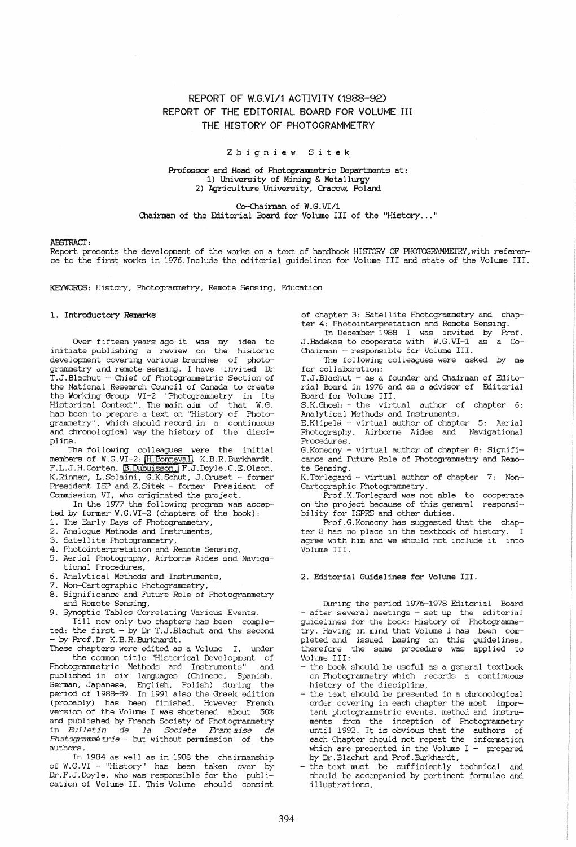# REPORT OF *W.G.YI/1* ACTIVITY (1988-92) REPORT OF THE EDITORIAL BOARD FOR VOLUME III THE HISTORY OF PHOTOGRAMMETRY

## Z bigniew Sitek

Professor and Head of Photogrammetric Departments at: 1) University of Mining & Metallurgy 2) Agriculture University, Cracow, Poland

Co-Chairman of W.G.VI/1 Chairman of the Editorial Board for Volume III of the "History ... "

#### ABSTRACT.

Report presents the development of the works on a text of handbook HIS1DRY OF PHOTOGRAMMETRY,with reference to the first works in 1976.Include the editorial guidelines for Volume III and state of the Volume III.

KEYWORDS: History, Photogrammetry, Remote Sensing, Education

#### 1. Introductory Remarks

Over fifteen years ago it was my idea to initiate publishing a review on the historic development covering various branches of photogrammetry and remote sensing. I have invited Dr T.J . Blachut .- Chief of Photogrammetric Section of the National Research Council of Canada to create the Working Group VI-2 "Photogrammetry in its Historical Context". The main aim of that W.G. has been to prepare a text on "History of Photogrammetry", which should record in a continuous and chronological way the history of the discipline.

The following colleagues were the initial members of W.G.VI-2: H.Bonneval]. K.B.R.Burkhardt, F.L.J.H.Corten, B.Dubuisson, F.J.Doyle, C.E.Olson, K.Rinner, L.Solaini, G.K.Schut, J.Cruset - former President ISP and Z.Sitek - former President of Commission VI, who originated the project.

In the 1977 the following program was accepted by former W.G.VI-2 (chapters of the book):

1. The Early Days of Photogrammetry,

- 2. Analoque Methods and Instruments,
- 3. Satellite Photogrammetry,
- 4. Photointerpretation and Remote Sensing,
- 5. Aerial Photography, Airborne Aides and Naviga-
- tional Procedures,
- 6. Analytical Methods and Instruments,
- 7. Non-Cartographic Photogrammetry,
- 8. Significance and Future Role of Photogrammetry and Remote Sensing,
- 9. Synoptic Tables Correlating Various Events.

Till now only two chapters has been completed: the first - by Dr T.J.Blachut and the second - by Prof.Dr K.B.R.Burkhardt.

These chapters were edited as a Volume I, under the common title "Historical Development of<br>
xprammetric Methods and Instruments" and Photogrammetric Methods and Instruments" published in six languages (Chinese, Spanish, German, Japanese, English, Polish) during the period of 1988-89. In 1991 also the Greek edition (probably) has been finished. However French version of the Volume I was shortened about 50% and published by French Society of Photogrammetry in Bulletin de la Societe Française de  $Photogram of trie - but without permission of the$ authors.

In 1984 as well as in 1988 the chairmanship of W. G. VI - "History" has been taken over by Dr.F.J.Doyle, who was responsible for the publication of Volume II. This Volume should consist

of chapter 3: Satellite Photogrammetry and chapter 4: Photointerpretation and Remote Sensing.

In December 1988 I was invited by Prof. J.Badekas to cooperate with W.G.VI-1 as a Co-Chairman - responsible for Volume III.

The following colleagues were asked by me for collaboration:

T.J.Blachut - as a founder and Chairman of Editorial Board in 1976 and as a advisor of Editorial Board for Volume III.

S.K.Ghosh - the virtual author of chapter 6: Analytical Methods and Instruments,

E.Klipela - virtual author of chapter 5: Aerial Photography, Airborne Aides and Navigational Procedures,

G.Konecny - virtual author of chapter 8: Significance and Future Role of Photogrammetry and Remote Sensing,

K.Torlegard - virtual author of chapter 7: Non-Cartographic Photogrammetry.

Prof.K.Torlegard was not able to cooperate on the project. because of this general responsibility for ISPRS and other duties.

Prof.G.Konecny has suggested that the chapter 8 has no place in the textbook of history. I agree with him and we should not include it into Volume III.

### 2. Editorial Guidelines for Volume III.

During the period 1976-1978 Editorial Board - after several meetings - set up the editorial guidelines for the book: History of Photogrammetry. Having in mind that Volume I has been completed and issued basing on this guidelines, therefore the same procedure was applied to Volume III:

- the book should be useful as a general textbook on Photogrammetry which records a continuous history of the discipline,
- the text should be presented in a chronological order covering in each chapter the most important photogrammetric events, method and instruments from the inception of Photogrammetry until 1992. It is obvious that the authors of each Chapter should not repeat the information which are presented in the Volume  $I$  - prepared by Dr.Blachut and Prof.Burkhardt,
- the text must be sufficiently technical and should be accompanied by pertinent formulae and illustrations,